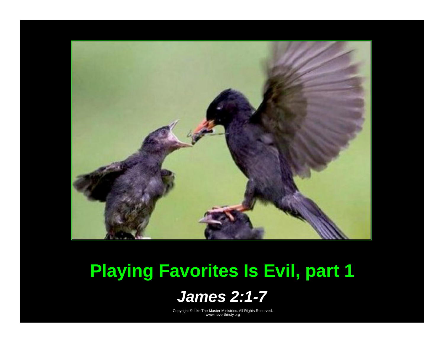

## **Playing Favorites Is Evil, part 1**

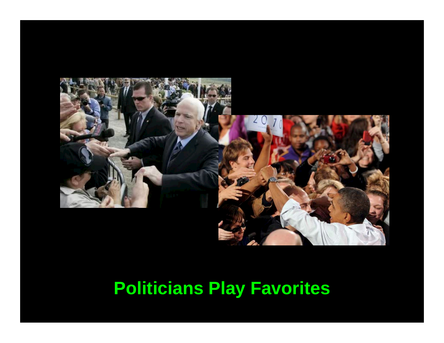

## **Politicians Play Favorites**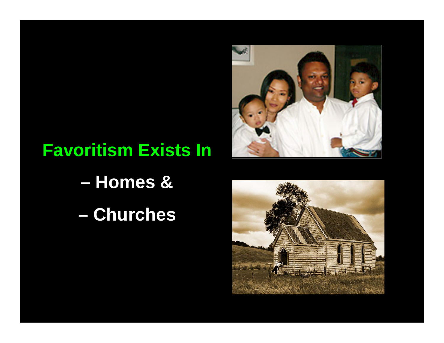

## **Favoritism Exists In**

- **Homes &**
- **Churches**

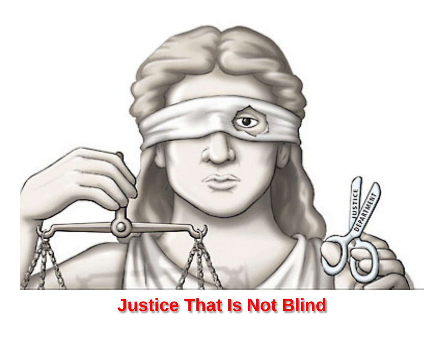

## **Justice That Is Not Blind**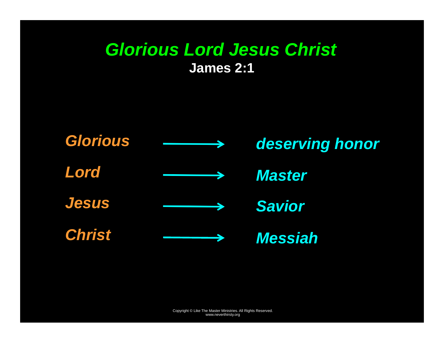#### *Glorious Lord Jesus Christ*  **James 2:1**

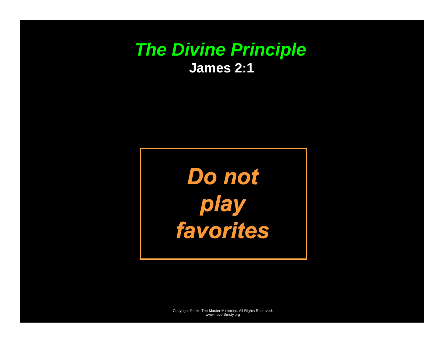#### *The Divine Principle*  **James 2:1**

**Do not** *play favorites*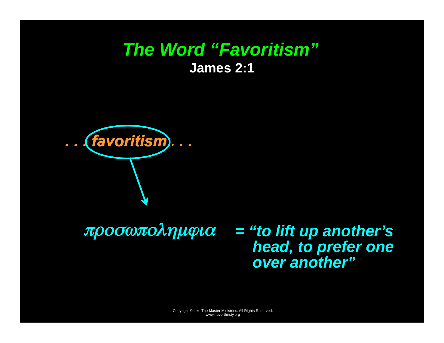#### *The Word "Favoritism"*  **James 2:1**



προσωπολημϕια *<sup>=</sup>"to lift up another's head, to prefer one over another"*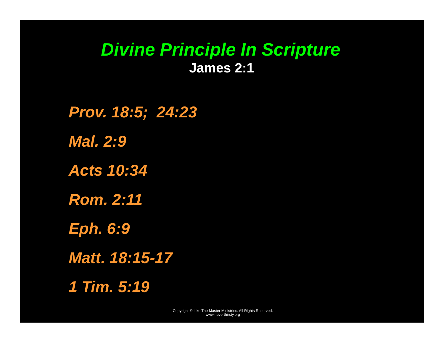#### *Divine Principle In Scripture*  **James 2:1**

*Prov. 18:5; 24:23 Mal. 2:9 Acts 10:34 Rom. 2:11 Eph. 6:9 Matt. 18:15-17 1 Tim. 5:19*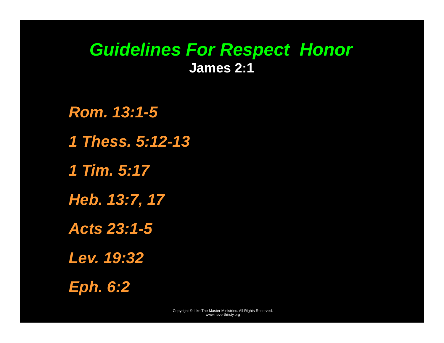#### *Guidelines For Respect Honor*  **James 2:1**

*Rom. 13:1-5 1 Thess. 5:12-13 1 Tim. 5:17 Heb. 13:7, 17 Acts 23:1-5 Lev. 19:32 Eph. 6:2*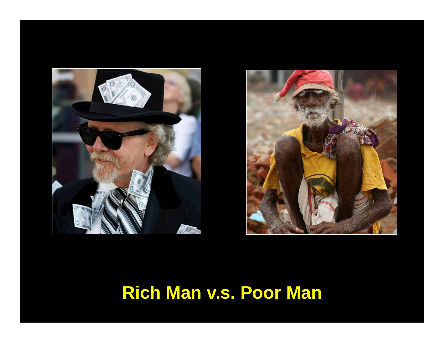



## **Rich Man v.s. Poor Man**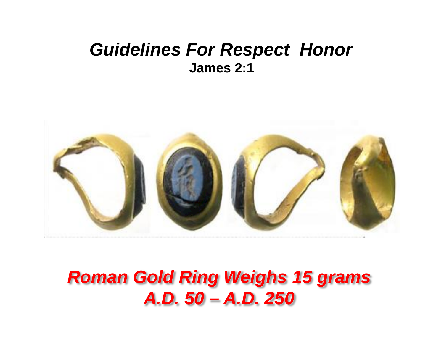#### *Guidelines For Respect Honor*  **James 2:1**



## *Roman Gold Ring Weighs 15 grams A.D. 50 – A.D. 250*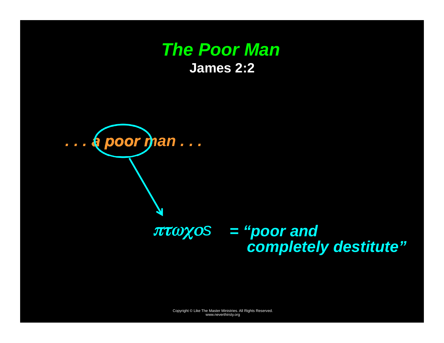#### **The Poor Man James 2:2**

 $\ldots$  (poor man...

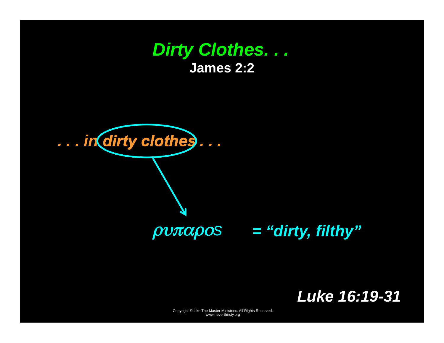#### **Dirty Clothes...** James 2:2



### **Luke 16:19-31**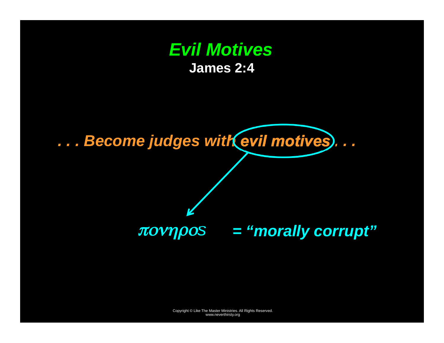